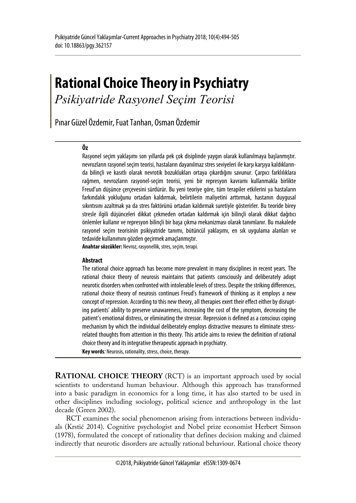# **Rational Choice Theory in Psychiatry**

*Psikiyatride Rasyonel Seçim Teorisi*

Pınar Güzel Özdemir, Fuat Tanhan, Osman Özdemir

#### **Öz**

Rasyonel seçim yaklaşımı son yıllarda pek çok disiplinde yaygın olarak kullanılmaya başlanmıştır. nevrozların rasyonel seçim teorisi, hastaların dayanılmaz stres seviyeleri ile karşı karşıya kaldıklarında bilinçli ve kasıtlı olarak nevrotik bozuklukları ortaya çıkardığını savunur. Çarpıcı farklılıklara rağmen, nevrozların rasyonel-seçim teorisi, yeni bir represyon kavramı kullanmakla birlikte Freud'un düşünce çerçevesini sürdürür. Bu yeni teoriye göre, tüm terapiler etkilerini ya hastaların farkındalık yokluğunu ortadan kaldırmak, belirtilerin maliyetini arttırmak, hastanın duygusal sıkıntısını azaltmak ya da stres faktörünü ortadan kaldırmak suretiyle gösterirler. Bu teoride birey stresle ilgili düşünceleri dikkat çekmeden ortadan kaldırmak için bilinçli olarak dikkat dağıtıcı önlemler kullanır ve represyon bilinçli bir başa çıkma mekanizması olarak tanımlanır. Bu makalede rasyonel seçim teorisinin psikiyatride tanımı, bütüncül yaklaşımı, en sık uygulama alanları ve tedavide kullanımını gözden geçirmek amaçlanmıştır.

**Anahtar sözcükler:** Nevroz, rasyonellik, stres, seçim, terapi.

#### **Abstract**

The rational choice approach has become more prevalent in many disciplines in recent years. The rational choice theory of neurosis maintains that patients consciously and deliberately adopt neurotic disorders when confronted with intolerable levels of stress. Despite the striking differences, rational choice theory of neurosis continues Freud's framework of thinking as it employs a new concept of repression. According to this new theory, all therapies exert their effect either by disrupting patients' ability to preserve unawareness, increasing the cost of the symptom, decreasing the patient's emotional distress, or eliminating the stressor. Repression is defined as a conscious coping mechanism by which the individual deliberately employs distractive measures to eliminate stressrelated thoughts from attention in this theory. This article aims to review the definition of rational choice theory and its integrative therapeutic approach in psychiatry.

**Key words***:* Neurosis, rationality, stress, choice, therapy.

**RATIONAL CHOICE THEORY** (RCT) is an important approach used by social scientists to understand human behaviour. Although this approach has transformed into a basic paradigm in economics for a long time, it has also started to be used in other disciplines including sociology, political science and anthropology in the last decade (Green 2002).

RCT examines the social phenomenon arising from interactions between individuals (Krstić 2014). Cognitive psychologist and Nobel prize economist Herbert Simson (1978), formulated the concept of rationality that defines decision making and claimed indirectly that neurotic disorders are actually rational behaviour. Rational choice theory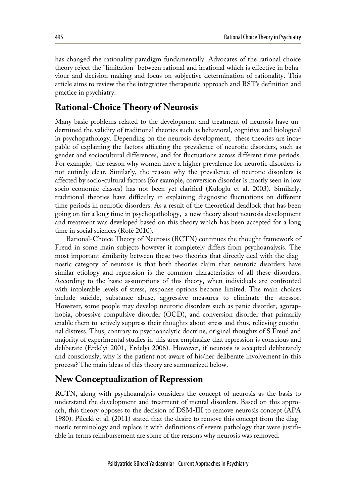has changed the rationality paradigm fundamentally. Advocates of the rational choice theory reject the "limitation" between rational and irrational which is effective in behaviour and decision making and focus on subjective determination of rationality. This article aims to review the the integrative therapeutic approach and RST's definition and practice in psychiatry.

# **Rational-Choice Theory of Neurosis**

Many basic problems related to the development and treatment of neurosis have undermined the validity of traditional theories such as behavioral, cognitive and biological in psychopathology. Depending on the neurosis development, these theories are incapable of explaining the factors affecting the prevalence of neurotic disorders, such as gender and sociocultural differences, and for fluctuations across different time periods. For example, the reason why women have a higher prevalence for neurotic disorders is not entirely clear. Similarly, the reason why the prevalence of neurotic disorders is affected by socio-cultural factors (for example, conversion disorder is mostly seen in low socio-economic classes) has not been yet clarified (Kuloglu et al. 2003). Similarly, traditional theories have difficulty in explaining diagnostic fluctuations on different time periods in neurotic disorders. As a result of the theoretical deadlock that has been going on for a long time in psychopathology, a new theory about neurosis development and treatment was developed based on this theory which has been accepted for a long time in social sciences (Rofé 2010).

Rational-Choice Theory of Neurosis (RCTN) continues the thought framework of Freud in some main subjects however it completely differs from psychoanalysis. The most important similarity between these two theories that directly deal with the diagnostic category of neurosis is that both theories claim that neurotic disorders have similar etiology and repression is the common characteristics of all these disorders. According to the basic assumptions of this theory, when individuals are confronted with intolerable levels of stress, response options become limited. The main choices include suicide, substance abuse, aggressive measures to eliminate the stressor. However, some people may develop neurotic disorders such as panic disorder, agoraphobia, obsessive compulsive disorder (OCD), and conversion disorder that primarily enable them to actively suppress their thoughts about stress and thus, relieving emotional distress. Thus, contrary to psychoanalytic doctrine, original thoughts of S.Freud and majority of experimental studies in this area emphasize that repression is conscious and deliberate (Erdelyi 2001, Erdelyi 2006). However, if neurosis is accepted deliberately and consciously, why is the patient not aware of his/her deliberate involvement in this process? The main ideas of this theory are summarized below.

#### **New Conceptualization of Repression**

RCTN, along with psychoanalysis considers the concept of neurosis as the basis to understand the development and treatment of mental disorders. Based on this approach, this theory opposes to the decision of DSM-III to remove neurosis concept (APA 1980). Pilecki et al. (2011) stated that the desire to remove this concept from the diagnostic terminology and replace it with definitions of severe pathology that were justifiable in terms reimbursement are some of the reasons why neurosis was removed.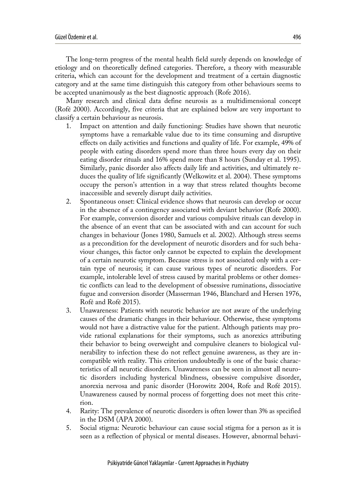The long-term progress of the mental health field surely depends on knowledge of etiology and on theoretically defined categories. Therefore, a theory with measurable criteria, which can account for the development and treatment of a certain diagnostic category and at the same time distinguish this category from other behaviours seems to be accepted unanimously as the best diagnostic approach (Rofe 2016).

Many research and clinical data define neurosis as a multidimensional concept (Rofé 2000). Accordingly, five criteria that are explained below are very important to classify a certain behaviour as neurosis.

- 1. Impact on attention and daily functioning: Studies have shown that neurotic symptoms have a remarkable value due to its time consuming and disruptive effects on daily activities and functions and quality of life. For example, 49% of people with eating disorders spend more than three hours every day on their eating disorder rituals and 16% spend more than 8 hours (Sunday et al. 1995). Similarly, panic disorder also affects daily life and activities, and ultimately reduces the quality of life significantly (Welkowitz et al. 2004). These symptoms occupy the person's attention in a way that stress related thoughts become inaccessible and severely disrupt daily activities.
- 2. Spontaneous onset: Clinical evidence shows that neurosis can develop or occur in the absence of a contingency associated with deviant behavior (Rofe 2000). For example, conversion disorder and various compulsive rituals can develop in the absence of an event that can be associated with and can account for such changes in behaviour (Jones 1980, Samuels et al. 2002). Although stress seems as a precondition for the development of neurotic disorders and for such behaviour changes, this factor only cannot be expected to explain the development of a certain neurotic symptom. Because stress is not associated only with a certain type of neurosis; it can cause various types of neurotic disorders. For example, intolerable level of stress caused by marital problems or other domestic conflicts can lead to the development of obsessive ruminations, dissociative fugue and conversion disorder (Masserman 1946, Blanchard and Hersen 1976, Rofé and Rofé 2015).
- 3. Unawareness: Patients with neurotic behavior are not aware of the underlying causes of the dramatic changes in their behaviour. Otherwise, these symptoms would not have a distractive value for the patient. Although patients may provide rational explanations for their symptoms, such as anorexics attributing their behavior to being overweight and compulsive cleaners to biological vulnerability to infection these do not reflect genuine awareness, as they are incompatible with reality. This criterion undoubtedly is one of the basic characteristics of all neurotic disorders. Unawareness can be seen in almost all neurotic disorders including hysterical blindness, obsessive compulsive disorder, anorexia nervosa and panic disorder (Horowitz 2004, Rofe and Rofé 2015). Unawareness caused by normal process of forgetting does not meet this criterion.
- 4. Rarity: The prevalence of neurotic disorders is often lower than 3% as specified in the DSM (APA 2000).
- 5. Social stigma: Neurotic behaviour can cause social stigma for a person as it is seen as a reflection of physical or mental diseases. However, abnormal behavi-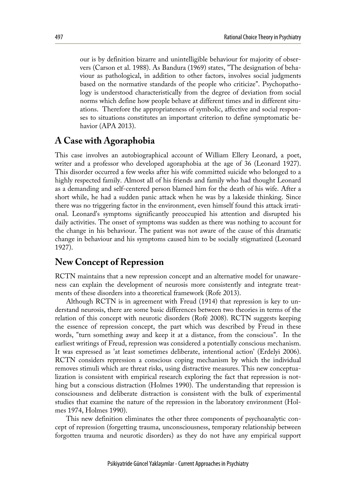our is by definition bizarre and unintelligible behaviour for majority of observers (Carson et al. 1988). As Bandura (1969) states, "The designation of behaviour as pathological, in addition to other factors, involves social judgments based on the normative standards of the people who criticize". Psychopathology is understood characteristically from the degree of deviation from social norms which define how people behave at different times and in different situations. Therefore the appropriateness of symbolic, affective and social responses to situations constitutes an important criterion to define symptomatic behavior (APA 2013).

#### **A Case with Agoraphobia**

This case involves an autobiographical account of William Ellery Leonard, a poet, writer and a professor who developed agoraphobia at the age of 36 (Leonard 1927). This disorder occurred a few weeks after his wife committed suicide who belonged to a highly respected family. Almost all of his friends and family who had thought Leonard as a demanding and self-centered person blamed him for the death of his wife. After a short while, he had a sudden panic attack when he was by a lakeside thinking. Since there was no triggering factor in the environment, even himself found this attack irrational. Leonard's symptoms significantly preoccupied his attention and disrupted his daily activities. The onset of symptoms was sudden as there was nothing to account for the change in his behaviour. The patient was not aware of the cause of this dramatic change in behaviour and his symptoms caused him to be socially stigmatized (Leonard 1927).

# **New Concept of Repression**

RCTN maintains that a new repression concept and an alternative model for unawareness can explain the development of neurosis more consistently and integrate treatments of these disorders into a theoretical framework (Rofe 2013).

Although RCTN is in agreement with Freud (1914) that repression is key to understand neurosis, there are some basic differences between two theories in terms of the relation of this concept with neurotic disorders (Rofé 2008). RCTN suggests keeping the essence of repression concept, the part which was described by Freud in these words, "turn something away and keep it at a distance, from the conscious". In the earliest writings of Freud, repression was considered a potentially conscious mechanism. It was expressed as 'at least sometimes deliberate, intentional action' (Erdelyi 2006). RCTN considers repression a conscious coping mechanism by which the individual removes stimuli which are threat risks, using distractive measures. This new conceptualization is consistent with empirical research exploring the fact that repression is nothing but a conscious distraction (Holmes 1990). The understanding that repression is consciousness and deliberate distraction is consistent with the bulk of experimental studies that examine the nature of the repression in the laboratory environment (Holmes 1974, Holmes 1990).

This new definition eliminates the other three components of psychoanalytic concept of repression (forgetting trauma, unconsciousness, temporary relationship between forgotten trauma and neurotic disorders) as they do not have any empirical support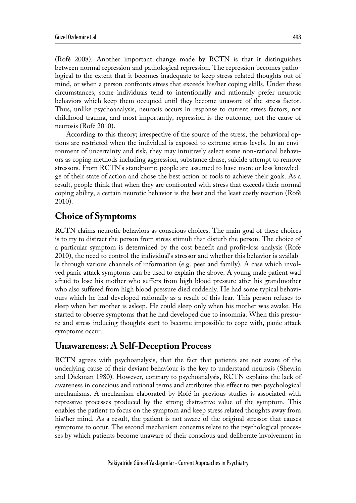(Rofé 2008). Another important change made by RCTN is that it distinguishes between normal repression and pathological repression. The repression becomes pathological to the extent that it becomes inadequate to keep stress-related thoughts out of mind, or when a person confronts stress that exceeds his/her coping skills. Under these circumstances, some individuals tend to intentionally and rationally prefer neurotic behaviors which keep them occupied until they become unaware of the stress factor. Thus, unlike psychoanalysis, neurosis occurs in response to current stress factors, not childhood trauma, and most importantly, repression is the outcome, not the cause of neurosis (Rofé 2010).

According to this theory; irrespective of the source of the stress, the behavioral options are restricted when the individual is exposed to extreme stress levels. In an environment of uncertainty and risk, they may intuitively select some non-rational behaviors as coping methods including aggression, substance abuse, suicide attempt to remove stressors. From RCTN's standpoint; people are assumed to have more or less knowledge of their state of action and chose the best action or tools to achieve their goals. As a result, people think that when they are confronted with stress that exceeds their normal coping ability, a certain neurotic behavior is the best and the least costly reaction (Rofé 2010).

# **Choice of Symptoms**

RCTN claims neurotic behaviors as conscious choices. The main goal of these choices is to try to distract the person from stress stimuli that disturb the person. The choice of a particular symptom is determined by the cost benefit and profit-loss analysis (Rofe 2010), the need to control the individual's stressor and whether this behavior is available through various channels of information (e.g. peer and family). A case which involved panic attack symptoms can be used to explain the above. A young male patient wad afraid to lose his mother who suffers from high blood pressure after his grandmother who also suffered from high blood pressure died suddenly. He had some typical behaviours which he had developed rationally as a result of this fear. This person refuses to sleep when her mother is asleep. He could sleep only when his mother was awake. He started to observe symptoms that he had developed due to insomnia. When this pressure and stress inducing thoughts start to become impossible to cope with, panic attack symptoms occur.

# **Unawareness: A Self-Deception Process**

RCTN agrees with psychoanalysis, that the fact that patients are not aware of the underlying cause of their deviant behaviour is the key to understand neurosis (Shevrin and Dickman 1980). However, contrary to psychoanalysis, RCTN explains the lack of awareness in conscious and rational terms and attributes this effect to two psychological mechanisms. A mechanism elaborated by Rofé in previous studies is associated with repressive processes produced by the strong distractive value of the symptom. This enables the patient to focus on the symptom and keep stress related thoughts away from his/her mind. As a result, the patient is not aware of the original stressor that causes symptoms to occur. The second mechanism concerns relate to the psychological processes by which patients become unaware of their conscious and deliberate involvement in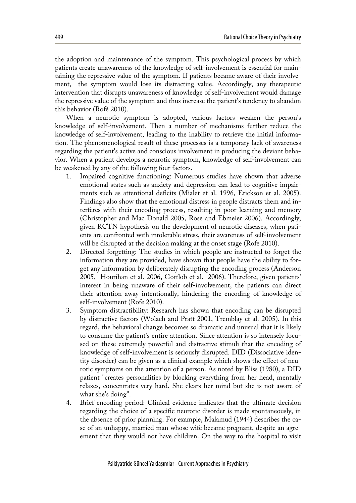the adoption and maintenance of the symptom. This psychological process by which patients create unawareness of the knowledge of self-involvement is essential for maintaining the repressive value of the symptom. If patients became aware of their involvement, the symptom would lose its distracting value. Accordingly, any therapeutic intervention that disrupts unawareness of knowledge of self-involvement would damage the repressive value of the symptom and thus increase the patient's tendency to abandon this behavior (Rofé 2010).

When a neurotic symptom is adopted, various factors weaken the person's knowledge of self-involvement. Then a number of mechanisms further reduce the knowledge of self-involvement, leading to the inability to retrieve the initial information. The phenomenological result of these processes is a temporary lack of awareness regarding the patient's active and conscious involvement in producing the deviant behavior. When a patient develops a neurotic symptom, knowledge of self-involvement can be weakened by any of the following four factors.

- 1. Impaired cognitive functioning: Numerous studies have shown that adverse emotional states such as anxiety and depression can lead to cognitive impairments such as attentional deficits (Mialet et al. 1996, Erickson et al. 2005). Findings also show that the emotional distress in people distracts them and interferes with their encoding process, resulting in poor learning and memory (Christopher and Mac Donald 2005, Rose and Ebmeier 2006). Accordingly, given RCTN hypothesis on the development of neurotic diseases, when patients are confronted with intolerable stress, their awareness of self-involvement will be disrupted at the decision making at the onset stage (Rofe 2010).
- 2. Directed forgetting: The studies in which people are instructed to forget the information they are provided, have shown that people have the ability to forget any information by deliberately disrupting the encoding process (Anderson 2005, Hourihan et al. 2006, Gottlob et al. 2006). Therefore, given patients' interest in being unaware of their self-involvement, the patients can direct their attention away intentionally, hindering the encoding of knowledge of self-involvement (Rofe 2010).
- 3. Symptom distractibility: Research has shown that encoding can be disrupted by distractive factors (Wolach and Pratt 2001, Tremblay et al. 2005). In this regard, the behavioral change becomes so dramatic and unusual that it is likely to consume the patient's entire attention. Since attention is so intensely focused on these extremely powerful and distractive stimuli that the encoding of knowledge of self-involvement is seriously disrupted. DID (Dissociative identity disorder) can be given as a clinical example which shows the effect of neurotic symptoms on the attention of a person. As noted by Bliss (1980), a DID patient "creates personalities by blocking everything from her head, mentally relaxes, concentrates very hard. She clears her mind but she is not aware of what she's doing".
- 4. Brief encoding period: Clinical evidence indicates that the ultimate decision regarding the choice of a specific neurotic disorder is made spontaneously, in the absence of prior planning. For example, Malamud (1944) describes the case of an unhappy, married man whose wife became pregnant, despite an agreement that they would not have children. On the way to the hospital to visit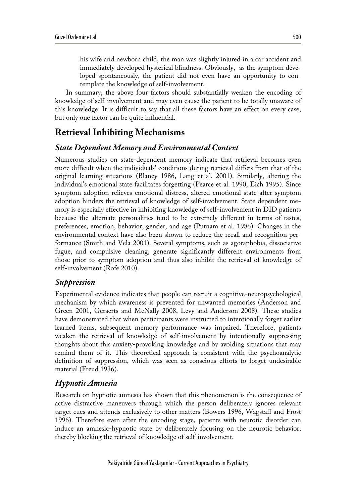his wife and newborn child, the man was slightly injured in a car accident and immediately developed hysterical blindness. Obviously, as the symptom developed spontaneously, the patient did not even have an opportunity to contemplate the knowledge of self-involvement.

In summary, the above four factors should substantially weaken the encoding of knowledge of self-involvement and may even cause the patient to be totally unaware of this knowledge. It is difficult to say that all these factors have an effect on every case, but only one factor can be quite influential.

# **Retrieval Inhibiting Mechanisms**

#### *State Dependent Memory and Environmental Context*

Numerous studies on state-dependent memory indicate that retrieval becomes even more difficult when the individuals' conditions during retrieval differs from that of the original learning situations (Blaney 1986, Lang et al. 2001). Similarly, altering the individual's emotional state facilitates forgetting (Pearce et al. 1990, Eich 1995). Since symptom adoption relieves emotional distress, altered emotional state after symptom adoption hinders the retrieval of knowledge of self-involvement. State dependent memory is especially effective in inhibiting knowledge of self-involvement in DID patients because the alternate personalities tend to be extremely different in terms of tastes, preferences, emotion, behavior, gender, and age (Putnam et al. 1986). Changes in the environmental context have also been shown to reduce the recall and recognition performance (Smith and Vela 2001). Several symptoms, such as agoraphobia, dissociative fugue, and compulsive cleaning, generate significantly different environments from those prior to symptom adoption and thus also inhibit the retrieval of knowledge of self-involvement (Rofe 2010).

#### *Suppression*

Experimental evidence indicates that people can recruit a cognitive-neuropsychological mechanism by which awareness is prevented for unwanted memories (Anderson and Green 2001, Geraerts and McNally 2008, Levy and Anderson 2008). These studies have demonstrated that when participants were instructed to intentionally forget earlier learned items, subsequent memory performance was impaired. Therefore, patients weaken the retrieval of knowledge of self-involvement by intentionally suppressing thoughts about this anxiety-provoking knowledge and by avoiding situations that may remind them of it. This theoretical approach is consistent with the psychoanalytic definition of suppression, which was seen as conscious efforts to forget undesirable material (Freud 1936).

#### *Hypnotic Amnesia*

Research on hypnotic amnesia has shown that this phenomenon is the consequence of active distractive maneuvers through which the person deliberately ignores relevant target cues and attends exclusively to other matters (Bowers 1996, Wagstaff and Frost 1996). Therefore even after the encoding stage, patients with neurotic disorder can induce an amnesic-hypnotic state by deliberately focusing on the neurotic behavior, thereby blocking the retrieval of knowledge of self-involvement.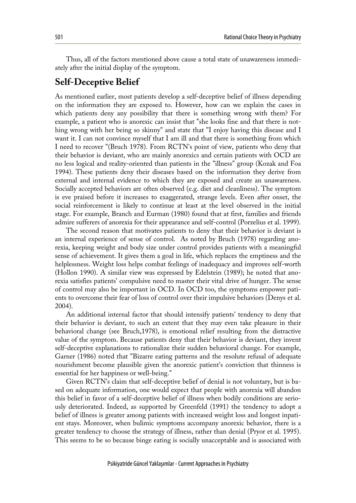Thus, all of the factors mentioned above cause a total state of unawareness immediately after the initial display of the symptom.

#### **Self-Deceptive Belief**

As mentioned earlier, most patients develop a self-deceptive belief of illness depending on the information they are exposed to. However, how can we explain the cases in which patients deny any possibility that there is something wrong with them? For example, a patient who is anorexic can insist that "she looks fine and that there is nothing wrong with her being so skinny" and state that "I enjoy having this disease and I want it. I can not convince myself that I am ill and that there is something from which I need to recover "(Bruch 1978). From RCTN's point of view, patients who deny that their behavior is deviant, who are mainly anorexics and certain patients with OCD are no less logical and reality-oriented than patients in the "illness" group (Kozak and Foa 1994). These patients deny their diseases based on the information they derive from external and internal evidence to which they are exposed and create an unawareness. Socially accepted behaviors are often observed (e.g. diet and cleanliness). The symptom is eve praised before it increases to exaggerated, strange levels. Even after onset, the social reinforcement is likely to continue at least at the level observed in the initial stage. For example, Branch and Eurman (1980) found that at first, families and friends admire sufferers of anorexia for their appearance and self-control (Porzelius et al. 1999).

The second reason that motivates patients to deny that their behavior is deviant is an internal experience of sense of control. As noted by Bruch (1978) regarding anorexia, keeping weight and body size under control provides patients with a meaningful sense of achievement. It gives them a goal in life, which replaces the emptiness and the helplessness. Weight loss helps combat feelings of inadequacy and improves self-worth (Hollon 1990). A similar view was expressed by Edelstein (1989); he noted that anorexia satisfies patients' compulsive need to master their vital drive of hunger. The sense of control may also be important in OCD. In OCD too, the symptoms empower patients to overcome their fear of loss of control over their impulsive behaviors (Denys et al. 2004).

An additional internal factor that should intensify patients' tendency to deny that their behavior is deviant, to such an extent that they may even take pleasure in their behavioral change (see Bruch,1978), is emotional relief resulting from the distractive value of the symptom. Because patients deny that their behavior is deviant, they invent self-deceptive explanations to rationalize their sudden behavioral change. For example, Garner (1986) noted that "Bizarre eating patterns and the resolute refusal of adequate nourishment become plausible given the anorexic patient's conviction that thinness is essential for her happiness or well-being."

Given RCTN's claim that self-deceptive belief of denial is not voluntary, but is based on adequate information, one would expect that people with anorexia will abandon this belief in favor of a self-deceptive belief of illness when bodily conditions are seriously deteriorated. Indeed, as supported by Greenfeld (1991) the tendency to adopt a belief of illness is greater among patients with increased weight loss and longest inpatient stays. Moreover, when bulimic symptoms accompany anorexic behavior, there is a greater tendency to choose the strategy of illness, rather than denial (Pryor et al. 1995). This seems to be so because binge eating is socially unacceptable and is associated with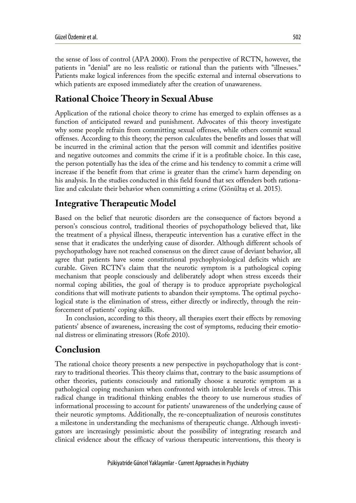the sense of loss of control (APA 2000). From the perspective of RCTN, however, the patients in "denial" are no less realistic or rational than the patients with "illnesses." Patients make logical inferences from the specific external and internal observations to which patients are exposed immediately after the creation of unawareness.

#### **Rational Choice Theory in Sexual Abuse**

Application of the rational choice theory to crime has emerged to explain offenses as a function of anticipated reward and punishment. Advocates of this theory investigate why some people refrain from committing sexual offenses, while others commit sexual offenses. According to this theory; the person calculates the benefits and losses that will be incurred in the criminal action that the person will commit and identifies positive and negative outcomes and commits the crime if it is a profitable choice. In this case, the person potentially has the idea of the crime and his tendency to commit a crime will increase if the benefit from that crime is greater than the crime's harm depending on his analysis. In the studies conducted in this field found that sex offenders both rationalize and calculate their behavior when committing a crime (Gönültaş et al. 2015).

# **Integrative Therapeutic Model**

Based on the belief that neurotic disorders are the consequence of factors beyond a person's conscious control, traditional theories of psychopathology believed that, like the treatment of a physical illness, therapeutic intervention has a curative effect in the sense that it eradicates the underlying cause of disorder. Although different schools of psychopathology have not reached consensus on the direct cause of deviant behavior, all agree that patients have some constitutional psychophysiological deficits which are curable. Given RCTN's claim that the neurotic symptom is a pathological coping mechanism that people consciously and deliberately adopt when stress exceeds their normal coping abilities, the goal of therapy is to produce appropriate psychological conditions that will motivate patients to abandon their symptoms. The optimal psychological state is the elimination of stress, either directly or indirectly, through the reinforcement of patients' coping skills.

In conclusion, according to this theory, all therapies exert their effects by removing patients' absence of awareness, increasing the cost of symptoms, reducing their emotional distress or eliminating stressors (Rofe 2010).

# **Conclusion**

The rational choice theory presents a new perspective in psychopathology that is contrary to traditional theories. This theory claims that, contrary to the basic assumptions of other theories, patients consciously and rationally choose a neurotic symptom as a pathological coping mechanism when confronted with intolerable levels of stress. This radical change in traditional thinking enables the theory to use numerous studies of informational processing to account for patients' unawareness of the underlying cause of their neurotic symptoms. Additionally, the re-conceptualization of neurosis constitutes a milestone in understanding the mechanisms of therapeutic change. Although investigators are increasingly pessimistic about the possibility of integrating research and clinical evidence about the efficacy of various therapeutic interventions, this theory is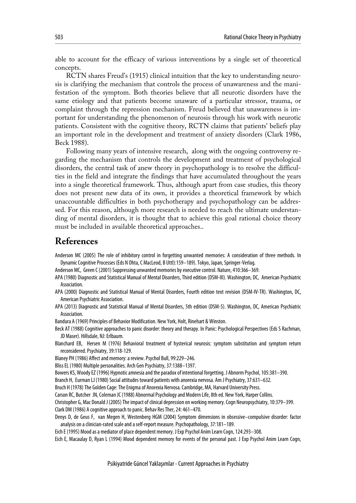able to account for the efficacy of various interventions by a single set of theoretical concepts.

RCTN shares Freud's (1915) clinical intuition that the key to understanding neurosis is clarifying the mechanism that controls the process of unawareness and the manifestation of the symptom. Both theories believe that all neurotic disorders have the same etiology and that patients become unaware of a particular stressor, trauma, or complaint through the repression mechanism. Freud believed that unawareness is important for understanding the phenomenon of neurosis through his work with neurotic patients. Consistent with the cognitive theory, RCTN claims that patients' beliefs play an important role in the development and treatment of anxiety disorders (Clark 1986, Beck 1988).

Following many years of intensive research, along with the ongoing controversy regarding the mechanism that controls the development and treatment of psychological disorders, the central task of anew theory in psychopathology is to resolve the difficulties in the field and integrate the findings that have accumulated throughout the years into a single theoretical framework. Thus, although apart from case studies, this theory does not present new data of its own, it provides a theoretical framework by which unaccountable difficulties in both psychotherapy and psychopathology can be addressed. For this reason, although more research is needed to reach the ultimate understanding of mental disorders, it is thought that to achieve this goal rational choice theory must be included in available theoretical approaches..

# **References**

- Anderson MC (2005) The role of inhibitory control in forgetting unwanted memories: A consideration of three methods. In Dynamic Cognitive Processes (Eds N Ohta, C MacLeod, B Uttl):159–189). Tokyo, Japan, Springer-Verlag.
- Anderson MC, Green C (2001) Suppressing unwanted memories by executive control. Nature, 410:366–369.
- APA (1980) Diagnostic and Statistical Manual of Mental Disorders, Thirdedition (DSM-III). Washington, DC, American Psychiatric Association.
- APA (2000) Diagnostic and Statistical Manual of Mental Disorders, Fourth edition text revision (DSM-IV-TR). Washington, DC, American Psychiatric Association.
- APA (2013) Diagnostic and Statistical Manual of Mental Disorders, 5th edition (DSM-5). Washington, DC, American Psychiatric Association.

Bandura A (1969) Principles of Behavior Modification. New York, Holt, Rinehart & Winston.

- Beck AT (1988) Cognitive approaches to panic disorder: theory and therapy. In Panic: Psychological Perspectives (Eds S Rachman, JD Maser). Hillsdale, NJ: Erlbaum.
- Blanchard EB, Hersen M (1976) Behavioral treatment of hysterical neurosis: symptom substitution and symptom return reconsidered. Psychiatry, 39:118-129.
- Blaney PH (1986) Affect and memory: a review. Psychol Bull, 99:229–246.
- Bliss EL (1980) Multiple personalities. Arch Gen Psychiatry, 37:1388–1397.

Bowers KS, Woody EZ(1996) Hypnotic amnesia and the paradox of intentional forgetting. J Abnorm Psychol, 105:381–390.

Branch H, Eurman LJ (1980) Social attitudes toward patients with anorexia nervosa. Am J Psychiatry, 37:631–632.

Bruch H (1978) The Golden Cage: The Enigma of Anorexia Nervosa. Cambridge, MA, Harvard University Press.

Carson RC, Butcher JN, Coleman JC (1988) Abnormal Psychology and Modern Life, 8th ed. New York, Harper Collins.

Christopher G, Mac Donald J (2005) The impact of clinical depression on working memory. Cogn Neuropsychiatry, 10:379–399.

Clark DM (1986) A cognitive approach to panic. Behav Res Ther, 24: 461–470.

Denys D, de Geus F, van Megen H, Westenberg HGM (2004) Symptom dimensions in obsessive–compulsive disorder: factor analysis on a clinician-rated scale and a self-report measure. Psychopathology, 37:181–189.

Eich E (1995) Mood as a mediator of place dependent memory. J Exp Psychol Anim Learn Cogn, 124:293–308.

Eich E, Macaulay D, Ryan L (1994) Mood dependent memory for events of the personal past. J Exp Psychol Anim Learn Cogn,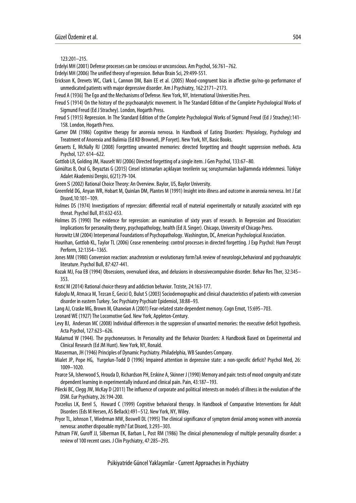123:201–215.

- Erdelyi MH (2001) Defense processes can be conscious or unconscious. Am Psychol, 56:761–762.
- Erdelyi MH (2006) The unified theory of repression. Behav Brain Sci, 29:499-551.
- Erickson K, Drevets WC, Clark L, Cannon DM, Bain EE et al. (2005) Mood-congruent bias in affective go/no-go performance of unmedicated patients with major depressive disorder. Am J Psychiatry, 162:2171–2173.
- Freud A (1936) The Ego and the Mechanisms of Defense. New York, NY, International Universities Press.
- Freud S (1914) On the history of the psychoanalytic movement. In The Standard Edition of the Complete Psychological Works of Sigmund Freud (Ed J Strachey). London, Hogarth Press.
- Freud S (1915) Repression. In The Standard Edition of the Complete Psychological Works of Sigmund Freud (Ed J Strachey):141- 158. London, Hogarth Press.

Garner DM (1986) Cognitive therapy for anorexia nervosa. In Handbook of Eating Disorders: Physiology, Psychology and Treatment of Anorexia and Bulimia (Ed KD Brownell, JP Foryet). New York, NY, Basic Books.

Geraerts E, McNally RJ (2008) Forgetting unwanted memories: directed forgetting and thought suppression methods. Acta Psychol, 127: 614–622.

Gottlob LR, Golding JM, Hauselt WJ (2006) Directed forgetting of a single item. J Gen Psychol, 133:67–80.

Gönültas B, Oral G, Beyaztas G (2015) Cinsel istismarları açıklayan teorilerin suç soruşturmaları bağlamında irdelenmesi. Türkiye Adalet Akademisi Dergisi, 6(21):79-104.

Green Ѕ (2002) Rational Choice Theory: An Overview. Baylor, US, Baylor University.

- Greenfeld DG, Anyan WR, Hobart M, Quinlan DM, Plantes M (1991) Insight into illness and outcome in anorexia nervosa. Int J Eat Disord,10:101–109.
- Holmes DS (1974) Investigations of repression: differential recall of material experimentally or naturally associated with ego threat. Psychol Bull, 81:632-653.

Holmes DS (1990) The evidence for repression: an examination of sixty years of research. In Repression and Dissociation: Implications for personality theory, psychopathology, health (EdJL Singer). Chicago, University of Chicago Press.

Horowitz LM (2004) Interpersonal Foundations of Psychopathology. Washington, DC, American Psychological Association.

- Hourihan, Gottlob KL, Taylor TL (2006) Cease remembering: control processes in directed forgetting. J Exp Psychol: Hum Percept Perform, 32:1354–1365.
- Jones MM (1980) Conversion reaction: anachronism or evolutionary form?aA review of neurologic,behavioral and psychoanalytic literature. Psychol Bull, 87:427-441.
- Kozak MJ, Foa EB (1994) Obsessions, overvalued ideas, and delusions in obsessivecompulsive disorder. Behav Res Ther, 32:345– 353.
- Krstić M (2014) Rational choice theory and addiction behavior. Trziste, 24:163-177.
- Kuloglu M, Atmaca M, Tezcan E, Gecici O, Bulut S (2003) Sociodemographic and clinical characteristics of patients with conversion disorder in eastern Turkey. Soc Psychiatry Psychiatr Epidemiol, 38:88–93.
- Lang AJ, Craske MG, Brown M, Ghaneian A (2001) Fear-related state dependent memory. Cogn Emot, 15:695–703.

Leonard WE (1927) The Locomotive God. New York, Appleton-Century.

Levy BJ, Anderson MC (2008) Individual differences in the suppression of unwanted memories: the executive deficit hypothesis. Acta Psychol, 127:623–626.

Malamud W (1944). The psychoneuroses. In Personality and the Behavior Disorders: A Handbook Based on Experimental and Clinical Research (Ed JM Hunt). New York, NY, Ronald.

Masserman, JH (1946) Principles of Dynamic Psychiatry. Philadelphia, WB Saunders Company.

Mialet JP, Pope HG, Yurgelun-Todd D (1996) Impaired attention in depressive state: a non-specific deficit? Psychol Med, 26: 1009–1020.

Pearce SA, Isherwood S, Hrouda D, Richardson PH, Erskine A, Skinner J (1990) Memory and pain: tests of mood congruity and state dependent learning in experimentally induced and clinical pain. Pain, 43:187–193.

- Pilecki BC, Clegg JW, McKay D (2011) The influence of corporate and political interests on models of illness in the evolution of the DSM. Eur Psychiatry, 26:194-200.
- Porzelius LK, Berel S, Howard C (1999) Cognitive behavioral therapy. In Handbook of Comparative Interventions for Adult Disorders (Eds M Hersen, AS Bellack):491–512. New York, NY, Wiley.
- Pryor TL, Johnson T, Wiedrman MW, Boswell DL (1995) The clinical significance of symptom denial among women with anorexia nervosa: another disposable myth? Eat Disord, 3:293–303.
- Putnam FW, Guroff JJ, Silberman EK, Barban L, Post RM (1986) The clinical phenomenology of multiple personality disorder: a review of 100 recent cases. J Clin Psychiatry, 47:285–293.

Psikiyatride Güncel Yaklaşımlar - Current Approaches in Psychiatry